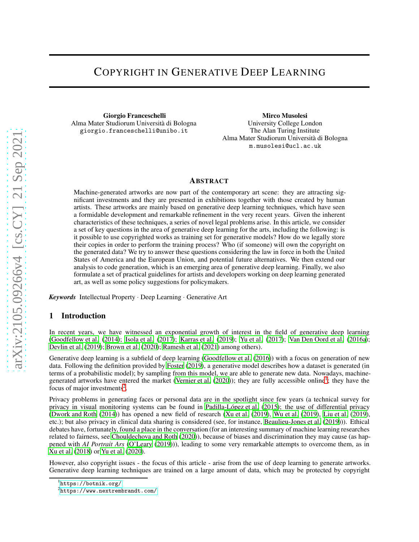# COPYRIGHT IN GENERATIVE DEEP LEARNING

Giorgio Franceschelli Alma Mater Studiorum Università di Bologna giorgio.franceschelli@unibo.it

Mirco Musolesi University College London The Alan Turing Institute Alma Mater Studiorum Università di Bologna m.musolesi@ucl.ac.uk

#### **ABSTRACT**

Machine-generated artworks are now part of the contemporary art scene: they are attracting significant investments and they are presented in exhibitions together with those created by human artists. These artworks are mainly based on generative deep learning techniques, which have seen a formidable development and remarkable refinement in the very recent years. Given the inherent characteristics of these techniques, a series of novel legal problems arise. In this article, we consider a set of key questions in the area of generative deep learning for the arts, including the following: is it possible to use copyrighted works as training set for generative models? How do we legally store their copies in order to perform the training process? Who (if someone) will own the copyright on the generated data? We try to answer these questions considering the law in force in both the United States of America and the European Union, and potential future alternatives. We then extend our analysis to code generation, which is an emerging area of generative deep learning. Finally, we also formulate a set of practical guidelines for artists and developers working on deep learning generated art, as well as some policy suggestions for policymakers.

*Keywords* Intellectual Property · Deep Learning · Generative Art

### 1 Introduction

In recent years, we have witnessed an exponential growth of interest in the field of generative deep learning [\(Goodfellow et al. \(2014\)](#page-12-0); [Isola et al.](#page-12-1) [\(2017\)](#page-12-1); [Karras et al.](#page-13-0) [\(2019\)](#page-13-0); [Yu et al. \(2017\)](#page-15-0); [Van Den Oord et al. \(2016a\)](#page-14-0); [Devlin et al.](#page-11-0) [\(2019\)](#page-11-0); [Brown et al.](#page-11-1) [\(2020\)](#page-11-1); [Ramesh et al.](#page-14-1) [\(2021\)](#page-14-1) among others).

Generative deep learning is a subfield of deep learning [\(Goodfellow et al.](#page-12-2) [\(2016\)](#page-12-2)) with a focus on generation of new data. Following the definition provided by [Foster](#page-11-2) [\(2019\)](#page-11-2), a generative model describes how a dataset is generated (in terms of a probabilistic model); by sampling from this model, we are able to generate new data. Nowadays, machine-generated artworks have entered the market [\(Vernier et al.](#page-14-2) [\(2020\)](#page-14-2)); they are fully accessible online<sup>[1](#page-0-0)</sup>; they have the focus of major investments<sup>[2](#page-0-1)</sup>.

Privacy problems in generating faces or personal data are in the spotlight since few years (a technical survey for privacy in visual monitoring systems can be found in [Padilla-López et al.](#page-13-1) [\(2015\)](#page-13-1); the use of differential privacy [\(Dwork and Roth \(2014](#page-11-3))) has opened a new field of research [\(Xu et al.](#page-15-1) [\(2019\)](#page-15-1), [Wu et al. \(2019](#page-14-3)), [Liu et al.](#page-13-2) [\(2019\)](#page-13-2), etc.); but also privacy in clinical data sharing is considered (see, for instance, [Beaulieu-Jones et al. \(2019](#page-10-0)))). Ethical debates have, fortunately, found a place in the conversation (for an interesting summary of machine learning researches related to fairness, see [Chouldechova and Roth \(2020\)](#page-11-4)), because of biases and discrimination they may cause (as happened with *AI Portrait Ars* [\(O'Leary \(2019](#page-13-3)))), leading to some very remarkable attempts to overcome them, as in [Xu et al. \(2018\)](#page-15-2) or [Yu et al.](#page-15-3) [\(2020\)](#page-15-3).

However, also copyright issues - the focus of this article - arise from the use of deep learning to generate artworks. Generative deep learning techniques are trained on a large amount of data, which may be protected by copyright

<sup>1</sup> <https://botnik.org/>

<span id="page-0-1"></span><span id="page-0-0"></span> $^{2}$ <https://www.nextrembrandt.com/>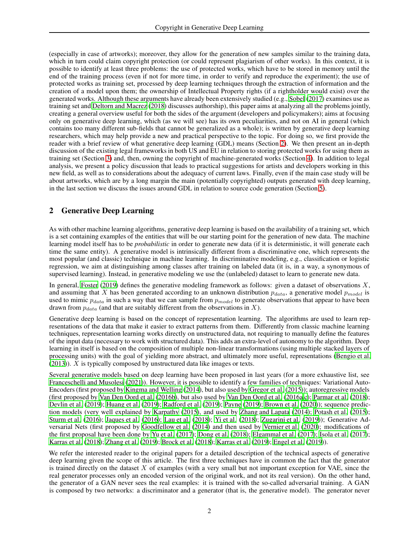(especially in case of artworks); moreover, they allow for the generation of new samples similar to the training data, which in turn could claim copyright protection (or could represent plagiarism of other works). In this context, it is possible to identify at least three problems: the use of protected works, which have to be stored in memory until the end of the training process (even if not for more time, in order to verify and reproduce the experiment); the use of protected works as training set, processed by deep learning techniques through the extraction of information and the creation of a model upon them; the ownership of Intellectual Property rights (if a rightholder would exist) over the generated works. Although these arguments have already been extensively studied (e.g., [Sobel \(2017\)](#page-14-4) examines use as training set and [Deltorn and Macrez \(2018](#page-11-5)) discusses authorship), this paper aims at analyzing all the problems jointly, creating a general overview useful for both the sides of the argument (developers and policymakers); aims at focusing only on generative deep learning, which (as we will see) has its own peculiarities, and not on AI in general (which contains too many different sub-fields that cannot be generalized as a whole); is written by generative deep learning researchers, which may help provide a new and practical perspective to the topic. For doing so, we first provide the reader with a brief review of what generative deep learning (GDL) means (Section [2\)](#page-1-0). We then present an in-depth discussion of the existing legal frameworks in both US and EU in relation to storing protected works for using them as training set (Section [3\)](#page-2-0) and, then, owning the copyright of machine-generated works (Section [4\)](#page-6-0). In addition to legal analysis, we present a policy discussion that leads to practical suggestions for artists and developers working in this new field, as well as to considerations about the adequacy of current laws. Finally, even if the main case study will be about artworks, which are by a long margin the main (potentially copyrighted) outputs generated with deep learning, in the last section we discuss the issues around GDL in relation to source code generation (Section [5\)](#page-9-0).

## <span id="page-1-0"></span>2 Generative Deep Learning

As with other machine learning algorithms, generative deep learning is based on the availability of a training set, which is a set containing examples of the entities that will be our starting point for the generation of new data. The machine learning model itself has to be *probabilistic* in order to generate new data (if it is deterministic, it will generate each time the same entity). A generative model is intrinsically different from a discriminative one, which represents the most popular (and classic) technique in machine learning. In discriminative modeling, e.g., classification or logistic regression, we aim at distinguishing among classes after training on labeled data (it is, in a way, a synonymous of supervised learning). Instead, in generative modeling we use the (unlabeled) dataset to learn to generate new data.

In general, [Foster](#page-11-2) [\(2019\)](#page-11-2) defines the generative modeling framework as follows: given a dataset of observations  $X$ , and assuming that X has been generated according to an unknown distribution  $p_{data}$ , a generative model  $p_{model}$  is used to mimic  $p_{data}$  in such a way that we can sample from  $p_{model}$  to generate observations that appear to have been drawn from  $p_{data}$  (and that are suitably different from the observations in X).

Generative deep learning is based on the concept of representation learning. The algorithms are used to learn representations of the data that make it easier to extract patterns from them. Differently from classic machine learning techniques, representation learning works directly on unstructured data, not requiring to manually define the features of the input data (necessary to work with structured data). This adds an extra-level of autonomy to the algorithm. Deep learning in itself is based on the composition of multiple non-linear transformations (using multiple stacked layers of processing units) with the goal of yielding more abstract, and ultimately more useful, representations [\(Bengio et al.](#page-10-1)  $(2013)$ ). X is typically composed by unstructured data like images or texts.

Several generative models based on deep learning have been proposed in last years (for a more exhaustive list, see [Franceschelli and Musolesi](#page-11-6) [\(2021\)](#page-11-6)). However, it is possible to identify a few families of techniques: Variational Auto-Encoders (first proposed by [Kingma and Welling \(2014\)](#page-13-4), but also used by [Gregor et al. \(2015\)](#page-12-3)); autoregressive models (first proposed by [Van Den Oord et al. \(2016b\)](#page-14-5), but also used by [Van Den Oord et al. \(2016a](#page-14-0)[,c](#page-14-6)); [Parmar et al.](#page-13-5) [\(2018\)](#page-13-5); [Devlin et al.](#page-11-0) [\(2019\)](#page-11-0); [Huang et al. \(2019\)](#page-12-4); [Radford et al. \(2019\)](#page-13-6); [Payne \(2019\)](#page-13-7); [Brown et al. \(2020\)](#page-11-1)); sequence prediction models (very well explained by [Karpathy \(2015](#page-13-8)), and used by [Zhang and Lapata \(2014\)](#page-15-4); [Potash et al.](#page-13-9) [\(2015\)](#page-13-9); [Sturm et al. \(2016](#page-14-7)); [Jaques et al. \(2016\)](#page-12-5); [Lau et al.](#page-13-10) [\(2018\)](#page-13-10); [Yi et al.](#page-15-5) [\(2018\)](#page-15-5); [Zugarini et al.](#page-15-6) [\(2019\)](#page-15-6)); Generative Adversarial Nets (first proposed by [Goodfellow et al. \(2014\)](#page-12-0) and then used by [Vernier et al.](#page-14-2) [\(2020\)](#page-14-2); modifications of the first proposal have been done by [Yu et al. \(2017\)](#page-15-0); [Dong et al. \(2018](#page-11-7)); [Elgammal et al. \(2017\)](#page-11-8); [Isola et al.](#page-12-1) [\(2017\)](#page-12-1); [Karras et al. \(2018](#page-13-11)); [Zhang et al.](#page-15-7) [\(2019\)](#page-15-7); [Brock et al. \(2018\)](#page-11-9); [Karras et al. \(2019\)](#page-13-0); [Engel et al. \(2019\)](#page-11-10)).

We refer the interested reader to the original papers for a detailed description of the technical aspects of generative deep learning given the scope of this article. The first three techniques have in common the fact that the generator is trained directly on the dataset  $X$  of examples (with a very small but not important exception for VAE, since the real generator processes only an encoded version of the original work, and not its real version). On the other hand, the generator of a GAN never sees the real examples: it is trained with the so-called adversarial training. A GAN is composed by two networks: a discriminator and a generator (that is, the generative model). The generator never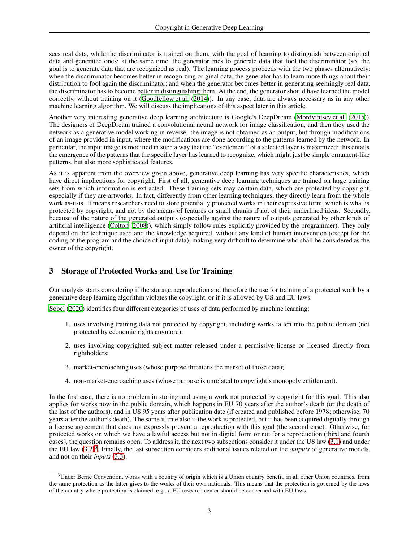sees real data, while the discriminator is trained on them, with the goal of learning to distinguish between original data and generated ones; at the same time, the generator tries to generate data that fool the discriminator (so, the goal is to generate data that are recognized as real). The learning process proceeds with the two phases alternatively: when the discriminator becomes better in recognizing original data, the generator has to learn more things about their distribution to fool again the discriminator; and when the generator becomes better in generating seemingly real data, the discriminator has to become better in distinguishing them. At the end, the generator should have learned the model correctly, without training on it [\(Goodfellow et al.](#page-12-0) [\(2014\)](#page-12-0)). In any case, data are always necessary as in any other machine learning algorithm. We will discuss the implications of this aspect later in this article.

Another very interesting generative deep learning architecture is Google's DeepDream [\(Mordvintsev et al.](#page-13-12) [\(2015\)](#page-13-12)). The designers of DeepDream trained a convolutional neural network for image classification, and then they used the network as a generative model working in reverse: the image is not obtained as an output, but through modifications of an image provided in input, where the modifications are done according to the patterns learned by the network. In particular, the input image is modified in such a way that the "excitement" of a selected layer is maximized; this entails the emergence of the patterns that the specific layer has learned to recognize, which might just be simple ornament-like patterns, but also more sophisticated features.

As it is apparent from the overview given above, generative deep learning has very specific characteristics, which have direct implications for copyright. First of all, generative deep learning techniques are trained on large training sets from which information is extracted. These training sets may contain data, which are protected by copyright, especially if they are artworks. In fact, differently from other learning techniques, they directly learn from the whole work as-it-is. It means researchers need to store potentially protected works in their expressive form, which is what is protected by copyright, and not by the means of features or small chunks if not of their underlined ideas. Secondly, because of the nature of the generated outputs (especially against the nature of outputs generated by other kinds of artificial intelligence [\(Colton \(2008\)](#page-11-11)), which simply follow rules explicitly provided by the programmer). They only depend on the technique used and the knowledge acquired, without any kind of human intervention (except for the coding of the program and the choice of input data), making very difficult to determine who shall be considered as the owner of the copyright.

### <span id="page-2-0"></span>3 Storage of Protected Works and Use for Training

Our analysis starts considering if the storage, reproduction and therefore the use for training of a protected work by a generative deep learning algorithm violates the copyright, or if it is allowed by US and EU laws.

[Sobel](#page-14-8) [\(2020\)](#page-14-8) identifies four different categories of uses of data performed by machine learning:

- 1. uses involving training data not protected by copyright, including works fallen into the public domain (not protected by economic rights anymore);
- 2. uses involving copyrighted subject matter released under a permissive license or licensed directly from rightholders;
- 3. market-encroaching uses (whose purpose threatens the market of those data);
- 4. non-market-encroaching uses (whose purpose is unrelated to copyright's monopoly entitlement).

In the first case, there is no problem in storing and using a work not protected by copyright for this goal. This also applies for works now in the public domain, which happens in EU 70 years after the author's death (or the death of the last of the authors), and in US 95 years after publication date (if created and published before 1978; otherwise, 70 years after the author's death). The same is true also if the work is protected, but it has been acquired digitally through a license agreement that does not expressly prevent a reproduction with this goal (the second case). Otherwise, for protected works on which we have a lawful access but not in digital form or not for a reproduction (third and fourth cases), the question remains open. To address it, the next two subsections consider it under the US law [\(3.1\)](#page-3-0) and under the EU law  $(3.2)^3$  $(3.2)^3$  $(3.2)^3$ . Finally, the last subsection considers additional issues related on the *outputs* of generative models, and not on their *inputs* [\(3.3\)](#page-5-0).

<span id="page-2-1"></span> $3$ Under Berne Convention, works with a country of origin which is a Union country benefit, in all other Union countries, from the same protection as the latter gives to the works of their own nationals. This means that the protection is governed by the laws of the country where protection is claimed, e.g., a EU research center should be concerned with EU laws.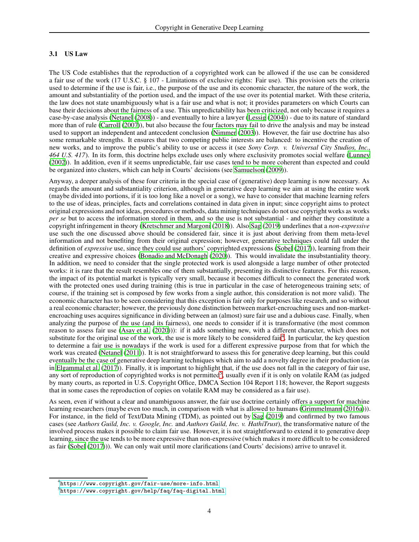#### <span id="page-3-0"></span>3.1 US Law

The US Code establishes that the reproduction of a copyrighted work can be allowed if the use can be considered a fair use of the work (17 U.S.C. § 107 - Limitations of exclusive rights: Fair use). This provision sets the criteria used to determine if the use is fair, i.e., the purpose of the use and its economic character, the nature of the work, the amount and substantiality of the portion used, and the impact of the use over its potential market. With these criteria, the law does not state unambiguously what is a fair use and what is not; it provides parameters on which Courts can base their decisions about the fairness of a use. This unpredictability has been criticized, not only because it requires a case-by-case analysis [\(Netanel \(2008\)](#page-13-13)) - and eventually to hire a lawyer [\(Lessig](#page-13-14) [\(2004\)](#page-13-14)) - due to its nature of standard more than of rule [\(Carroll \(2007\)](#page-11-12)), but also because the four factors may fail to drive the analysis and may be instead used to support an independent and antecedent conclusion [\(Nimmer \(2003](#page-13-15))). However, the fair use doctrine has also some remarkable strengths. It ensures that two competing public interests are balanced: to incentive the creation of new works, and to improve the public's ability to use or access it (see *Sony Corp. v. Universal City Studios, Inc., 464 U.S. 417*). In its form, this doctrine helps exclude uses only where exclusivity promotes social welfare [\(Lunney](#page-13-16) [\(2002\)](#page-13-16)). In addition, even if it seems unpredictable, fair use cases tend to be more coherent than expected and could be organized into clusters, which can help in Courts' decisions (see [Samuelson \(2009\)](#page-14-9)).

Anyway, a deeper analysis of these four criteria in the special case of (generative) deep learning is now necessary. As regards the amount and substantiality criterion, although in generative deep learning we aim at using the entire work (maybe divided into portions, if it is too long like a novel or a song), we have to consider that machine learning refers to the use of ideas, principles, facts and correlations contained in data given in input; since copyright aims to protect original expressions and not ideas, procedures or methods, data mining techniques do not use copyright works as works *per se* but to access the information stored in them, and so the use is not substantial - and neither they constitute a copyright infringement in theory [\(Kretschmer and Margoni \(2018](#page-13-17))). Also [Sag \(2019](#page-14-10)) underlines that a *non-expressive* use such the one discussed above should be considered fair, since it is just about deriving from them meta-level information and not benefiting from their original expression; however, generative techniques could fall under the definition of *expressive* use, since they could use authors' copyrighted expressions [\(Sobel \(2017\)](#page-14-4)), learning from their creative and expressive choices [\(Bonadio and McDonagh](#page-11-13) [\(2020\)](#page-11-13)). This would invalidate the insubstantiality theory. In addition, we need to consider that the single protected work is used alongside a large number of other protected works: it is rare that the result resembles one of them substantially, presenting its distinctive features. For this reason, the impact of its potential market is typically very small, because it becomes difficult to connect the generated work with the protected ones used during training (this is true in particular in the case of heterogeneous training sets; of course, if the training set is composed by few works from a single author, this consideration is not more valid). The economic character has to be seen considering that this exception is fair only for purposes like research, and so without a real economic character; however, the previously done distinction between market-encroaching uses and non-marketencroaching uses acquires significance in dividing between an (almost) sure fair use and a dubious case. Finally, when analyzing the purpose of the use (and its fairness), one needs to consider if it is transformative (the most common reason to assess fair use [\(Asay et al. \(2020\)](#page-10-2))): if it adds something new, with a different character, which does not substitute for the original use of the work, the use is more likely to be considered fair<sup>[4](#page-3-1)</sup>. In particular, the key question to determine a fair use is nowadays if the work is used for a different expressive purpose from that for which the work was created [\(Netanel \(2011](#page-13-18))). It is not straightforward to assess this for generative deep learning, but this could eventually be the case of generative deep learning techniques which aim to add a novelty degree in their production (as in [Elgammal et al. \(2017](#page-11-8))). Finally, it is important to highlight that, if the use does not fall in the category of fair use, any sort of reproduction of copyrighted works is not permitted<sup>[5](#page-3-2)</sup>, usually even if it is only on volatile RAM (as judged by many courts, as reported in U.S. Copyright Office, DMCA Section 104 Report 118; however, the Report suggests that in some cases the reproduction of copies on volatile RAM may be considered as a fair use).

As seen, even if without a clear and unambiguous answer, the fair use doctrine certainly offers a support for machine learning researchers (maybe even too much, in comparison with what is allowed to humans [\(Grimmelmann \(2016a\)](#page-12-6))). For instance, in the field of Text/Data Mining (TDM), as pointed out by [Sag](#page-14-10) [\(2019\)](#page-14-10) and confirmed by two famous cases (see *Authors Guild, Inc. v. Google, Inc.* and *Authors Guild, Inc. v. HathiTrust*), the transformative nature of the involved process makes it possible to claim fair use. However, it is not straightforward to extend it to generative deep learning, since the use tends to be more expressive than non-expressive (which makes it more difficult to be considered as fair [\(Sobel \(2017\)](#page-14-4))). We can only wait until more clarifications (and Courts' decisions) arrive to unravel it.

<sup>4</sup> <https://www.copyright.gov/fair-use/more-info.html>

<span id="page-3-2"></span><span id="page-3-1"></span> $^5$ <https://www.copyright.gov/help/faq/faq-digital.html>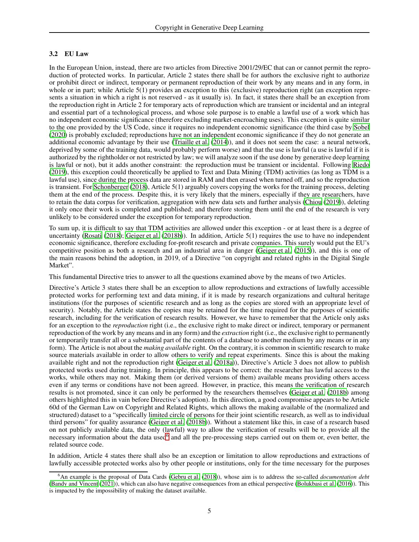#### <span id="page-4-0"></span>3.2 EU Law

In the European Union, instead, there are two articles from Directive 2001/29/EC that can or cannot permit the reproduction of protected works. In particular, Article 2 states there shall be for authors the exclusive right to authorize or prohibit direct or indirect, temporary or permanent reproduction of their work by any means and in any form, in whole or in part; while Article 5(1) provides an exception to this (exclusive) reproduction right (an exception represents a situation in which a right is not reserved - as it usually is). In fact, it states there shall be an exception from the reproduction right in Article 2 for temporary acts of reproduction which are transient or incidental and an integral and essential part of a technological process, and whose sole purpose is to enable a lawful use of a work which has no independent economic significance (therefore excluding market-encroaching uses). This exception is quite similar to the one provided by the US Code, since it requires no independent economic significance (the third case by [Sobel](#page-14-8) [\(2020\)](#page-14-8) is probably excluded; reproductions have not an independent economic significance if they do not generate an additional economic advantage by their use [\(Triaille et al.](#page-14-11) [\(2014\)](#page-14-11)), and it does not seem the case: a neural network, deprived by some of the training data, would probably perform worse) and that the use is lawful (a use is lawful if it is authorized by the rightholder or not restricted by law; we will analyze soon if the use done by generative deep learning is lawful or not), but it adds another constraint: the reproduction must be transient or incidental. Following [Riedo](#page-14-12) [\(2019\)](#page-14-12), this exception could theoretically be applied to Text and Data Mining (TDM) activities (as long as TDM is a lawful use), since during the process data are stored in RAM and then erased when turned off, and so the reproduction is transient. For [Schonberger \(2018\)](#page-14-13), Article 5(1) arguably covers copying the works for the training process, deleting them at the end of the process. Despite this, it is very likely that the miners, especially if they are researchers, have to retain the data corpus for verification, aggregation with new data sets and further analysis [\(Chiou \(2019](#page-11-14))), deleting it only once their work is completed and published; and therefore storing them until the end of the research is very unlikely to be considered under the exception for temporary reproduction.

To sum up, it is difficult to say that TDM activities are allowed under this exception - or at least there is a degree of uncertainty [\(Rosati \(2018](#page-14-14)); [Geiger et al.](#page-12-7) [\(2018b\)](#page-12-7)). In addition, Article 5(1) requires the use to have no independent economic significance, therefore excluding for-profit research and private companies. This surely would put the EU's competitive position as both a research and an industrial area in danger [\(Geiger et al. \(2015](#page-12-8))), and this is one of the main reasons behind the adoption, in 2019, of a Directive "on copyright and related rights in the Digital Single Market".

This fundamental Directive tries to answer to all the questions examined above by the means of two Articles.

Directive's Article 3 states there shall be an exception to allow reproductions and extractions of lawfully accessible protected works for performing text and data mining, if it is made by research organizations and cultural heritage institutions (for the purposes of scientific research and as long as the copies are stored with an appropriate level of security). Notably, the Article states the copies may be retained for the time required for the purposes of scientific research, including for the verification of research results. However, we have to remember that the Article only asks for an exception to the *reproduction* right (i.e., the exclusive right to make direct or indirect, temporary or permanent reproduction of the work by any means and in any form) and the *extraction* right (i.e., the exclusive right to permanently or temporarily transfer all or a substantial part of the contents of a database to another medium by any means or in any form). The Article is not about the *making available* right. On the contrary, it is common in scientific research to make source materials available in order to allow others to verify and repeat experiments. Since this is about the making available right and not the reproduction right [\(Geiger et al.](#page-12-9) [\(2018a](#page-12-9))), Directive's Article 3 does not allow to publish protected works used during training. In principle, this appears to be correct: the researcher has lawful access to the works, while others may not. Making them (or derived versions of them) available means providing others access even if any terms or conditions have not been agreed. However, in practice, this means the verification of research results is not promoted, since it can only be performed by the researchers themselves [\(Geiger et al. \(2018b\)](#page-12-7) among others highlighted this in vain before Directive's adoption). In this direction, a good compromise appears to be Article 60d of the German Law on Copyright and Related Rights, which allows the making available of the (normalized and structured) dataset to a "specifically limited circle of persons for their joint scientific research, as well as to individual third persons" for quality assurance [\(Geiger et al. \(2018b\)](#page-12-7)). Without a statement like this, in case of a research based on not publicly available data, the only (lawful) way to allow the verification of results will be to provide all the necessary information about the data used<sup>[6](#page-4-1)</sup> and all the pre-processing steps carried out on them or, even better, the related source code.

In addition, Article 4 states there shall also be an exception or limitation to allow reproductions and extractions of lawfully accessible protected works also by other people or institutions, only for the time necessary for the purposes

<span id="page-4-1"></span><sup>6</sup>An example is the proposal of Data Cards [\(Gebru et al. \(2018\)](#page-12-10)), whose aim is to address the so-called *documentation debt* [\(Bandy and Vincent \(2021](#page-10-3))), which can also have negative consequences from an ethical perspective [\(Bolukbasi et al. \(2016](#page-11-15))). This is impacted by the impossibility of making the dataset available.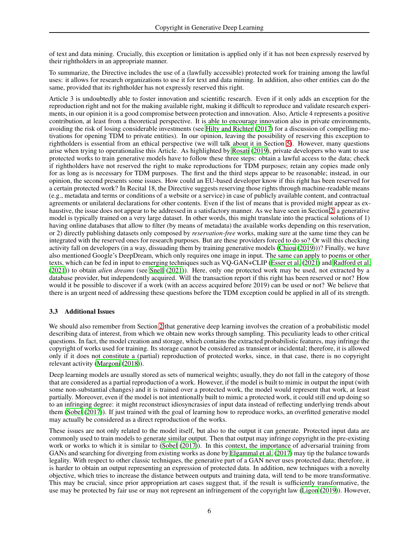of text and data mining. Crucially, this exception or limitation is applied only if it has not been expressly reserved by their rightholders in an appropriate manner.

To summarize, the Directive includes the use of a (lawfully accessible) protected work for training among the lawful uses: it allows for research organizations to use it for text and data mining. In addition, also other entities can do the same, provided that its rightholder has not expressly reserved this right.

Article 3 is undoubtedly able to foster innovation and scientific research. Even if it only adds an exception for the reproduction right and not for the making available right, making it difficult to reproduce and validate research experiments, in our opinion it is a good compromise between protection and innovation. Also, Article 4 represents a positive contribution, at least from a theoretical perspective. It is able to encourage innovation also in private environments, avoiding the risk of losing considerable investments (see [Hilty and Richter \(2017\)](#page-12-11) for a discussion of compelling motivations for opening TDM to private entities). In our opinion, leaving the possibility of reserving this exception to rightholders is essential from an ethical perspective (we will talk about it in Section [5\)](#page-9-0). However, many questions arise when trying to operationalise this Article. As highlighted by [Rosati](#page-14-15) [\(2019\)](#page-14-15), private developers who want to use protected works to train generative models have to follow these three steps: obtain a lawful access to the data; check if rightholders have not reserved the right to make reproductions for TDM purposes; retain any copies made only for as long as is necessary for TDM purposes. The first and the third steps appear to be reasonable; instead, in our opinion, the second presents some issues. How could an EU-based developer know if this right has been reserved for a certain protected work? In Recital 18, the Directive suggests reserving those rights through machine-readable means (e.g., metadata and terms or conditions of a website or a service) in case of publicly available content, and contractual agreements or unilateral declarations for other contents. Even if the list of means that is provided might appear as exhaustive, the issue does not appear to be addressed in a satisfactory manner. As we have seen in Section [2,](#page-1-0) a generative model is typically trained on a very large dataset. In other words, this might translate into the practical solutions of 1) having online databases that allow to filter (by means of metadata) the available works depending on this reservation, or 2) directly publishing datasets only composed by *reservation-free* works, making sure at the same time they can be integrated with the reserved ones for research purposes. But are these providers forced to do so? Or will this checking activity fall on developers (in a way, dissuading them by training generative models [\(Chiou \(2019\)](#page-11-14)))? Finally, we have also mentioned Google's DeepDream, which only requires one image in input. The same can apply to poems or other texts, which can be fed in input to emerging techniques such as VQ-GAN+CLIP [\(Esser et al. \(2021\)](#page-11-16) and [Radford et al.](#page-13-19) [\(2021\)](#page-13-19)) to obtain *alien dreams* (see [Snell \(2021](#page-14-16))). Here, only one protected work may be used, not extracted by a database provider, but independently acquired. Will the transaction report if this right has been reserved or not? How would it be possible to discover if a work (with an access acquired before 2019) can be used or not? We believe that there is an urgent need of addressing these questions before the TDM exception could be applied in all of its strength.

### <span id="page-5-0"></span>3.3 Additional Issues

We should also remember from Section [2](#page-1-0) that generative deep learning involves the creation of a probabilistic model describing data of interest, from which we obtain new works through sampling. This peculiarity leads to other critical questions. In fact, the model creation and storage, which contains the extracted probabilistic features, may infringe the copyright of works used for training. Its storage cannot be considered as transient or incidental; therefore, it is allowed only if it does not constitute a (partial) reproduction of protected works, since, in that case, there is no copyright relevant activity [\(Margoni](#page-13-20) [\(2018\)](#page-13-20)).

Deep learning models are usually stored as sets of numerical weights; usually, they do not fall in the category of those that are considered as a partial reproduction of a work. However, if the model is built to mimic in output the input (with some non-substantial changes) and it is trained over a protected work, the model would represent that work, at least partially. Moreover, even if the model is not intentionally built to mimic a protected work, it could still end up doing so to an infringing degree: it might reconstruct idiosyncrasies of input data instead of reflecting underlying trends about them [\(Sobel](#page-14-4) [\(2017\)](#page-14-4)). If just trained with the goal of learning how to reproduce works, an overfitted generative model may actually be considered as a direct reproduction of the works.

These issues are not only related to the model itself, but also to the output it can generate. Protected input data are commonly used to train models to generate similar output. Then that output may infringe copyright in the pre-existing work or works to which it is similar to [\(Sobel \(2017\)](#page-14-4)). In this context, the importance of adversarial training from GANs and searching for diverging from existing works as done by [Elgammal et al. \(2017\)](#page-11-8) may tip the balance towards legality. With respect to other classic techniques, the generative part of a GAN never uses protected data; therefore, it is harder to obtain an output representing an expression of protected data. In addition, new techniques with a novelty objective, which tries to increase the distance between outputs and training data, will tend to be more transformative. This may be crucial, since prior appropriation art cases suggest that, if the result is sufficiently transformative, the use may be protected by fair use or may not represent an infringement of the copyright law [\(Ligon \(2019\)](#page-13-21)). However,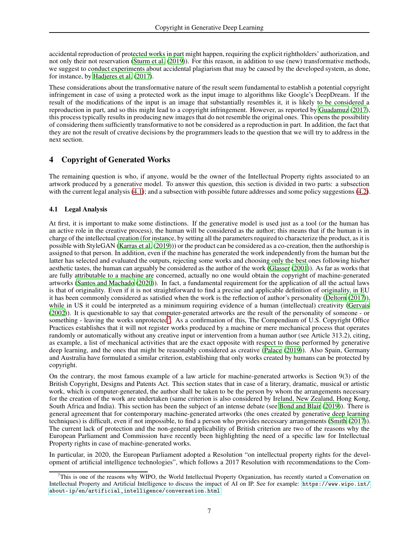accidental reproduction of protected works in part might happen, requiring the explicit rightholders' authorization, and not only their not reservation [\(Sturm et al. \(2019\)](#page-14-17)). For this reason, in addition to use (new) transformative methods, we suggest to conduct experiments about accidental plagiarism that may be caused by the developed system, as done, for instance, by [Hadjeres et al. \(2017](#page-12-12)).

These considerations about the transformative nature of the result seem fundamental to establish a potential copyright infringement in case of using a protected work as the input image to algorithms like Google's DeepDream. If the result of the modifications of the input is an image that substantially resembles it, it is likely to be considered a reproduction in part, and so this might lead to a copyright infringement. However, as reported by [Guadamuz](#page-12-13) [\(2017\)](#page-12-13), this process typically results in producing new images that do not resemble the original ones. This opens the possibility of considering them sufficiently transformative to not be considered as a reproduction in part. In addition, the fact that they are not the result of creative decisions by the programmers leads to the question that we will try to address in the next section.

## <span id="page-6-0"></span>4 Copyright of Generated Works

The remaining question is who, if anyone, would be the owner of the Intellectual Property rights associated to an artwork produced by a generative model. To answer this question, this section is divided in two parts: a subsection with the current legal analysis [\(4.1\)](#page-6-1); and a subsection with possible future addresses and some policy suggestions [\(4.2\)](#page-7-0).

### <span id="page-6-1"></span>4.1 Legal Analysis

At first, it is important to make some distinctions. If the generative model is used just as a tool (or the human has an active role in the creative process), the human will be considered as the author; this means that if the human is in charge of the intellectual creation (for instance, by setting all the parameters required to characterize the product, as it is possible with StyleGAN [\(Karras et al.](#page-13-0) [\(2019\)](#page-13-0))) or the product can be considered as a co-creation, then the authorship is assigned to that person. In addition, even if the machine has generated the work independently from the human but the latter has selected and evaluated the outputs, rejecting some works and choosing only the best ones following his/her aesthetic tastes, the human can arguably be considered as the author of the work [\(Glasser \(2001\)](#page-12-14)). As far as works that are fully attributable to a machine are concerned, actually no one would obtain the copyright of machine-generated artworks [\(Santos and Machado \(2020](#page-14-18))). In fact, a fundamental requirement for the application of all the actual laws is that of originality. Even if it is not straightforward to find a precise and applicable definition of originality, in EU it has been commonly considered as satisfied when the work is the reflection of author's personality [\(Deltorn \(2017](#page-11-17))), while in US it could be interpreted as a minimum requiring evidence of a human (intellectual) creativity [\(Gervais](#page-12-15) [\(2002\)](#page-12-15)). It is questionable to say that computer-generated artworks are the result of the personality of someone - or something - leaving the works unprotected<sup>[7](#page-6-2)</sup>. As a confirmation of this, The Compendium of U.S. Copyright Office Practices establishes that it will not register works produced by a machine or mere mechanical process that operates randomly or automatically without any creative input or intervention from a human author (see Article 313.2), citing, as example, a list of mechanical activities that are the exact opposite with respect to those performed by generative deep learning, and the ones that might be reasonably considered as creative [\(Palace](#page-13-22) [\(2019\)](#page-13-22)). Also Spain, Germany and Australia have formulated a similar criterion, establishing that only works created by humans can be protected by copyright.

On the contrary, the most famous example of a law article for machine-generated artworks is Section 9(3) of the British Copyright, Designs and Patents Act. This section states that in case of a literary, dramatic, musical or artistic work, which is computer-generated, the author shall be taken to be the person by whom the arrangements necessary for the creation of the work are undertaken (same criterion is also considered by Ireland, New Zealand, Hong Kong, South Africa and India). This section has been the subject of an intense debate (see [Bond and Blair \(2019\)](#page-11-18)). There is general agreement that for contemporary machine-generated artworks (the ones created by generative deep learning techniques) is difficult, even if not impossible, to find a person who provides necessary arrangements [\(Smith](#page-14-19) [\(2017\)](#page-14-19)). The current lack of protection and the non-general applicability of British criterion are two of the reasons why the European Parliament and Commission have recently been highlighting the need of a specific law for Intellectual Property rights in case of machine-generated works.

In particular, in 2020, the European Parliament adopted a Resolution "on intellectual property rights for the development of artificial intelligence technologies", which follows a 2017 Resolution with recommendations to the Com-

<span id="page-6-2"></span> $^7$ This is one of the reasons why WIPO, the World Intellectual Property Organization, has recently started a Conversation on Intellectual Property and Artificial Intelligence to discuss the impact of AI on IP. See for example: [https://www.wipo.int/](https://www.wipo.int/about-ip/en/artificial_intelligence/conversation.html) [about-ip/en/artificial\\_intelligence/conversation.html](https://www.wipo.int/about-ip/en/artificial_intelligence/conversation.html)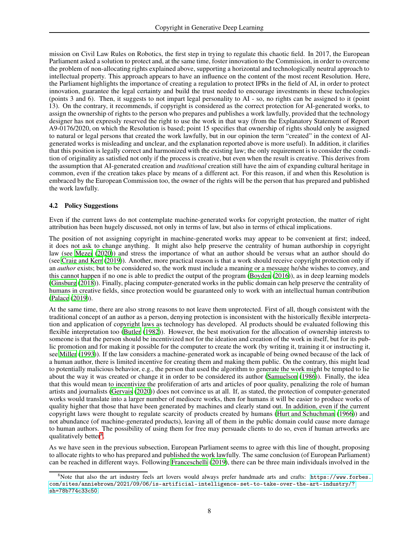mission on Civil Law Rules on Robotics, the first step in trying to regulate this chaotic field. In 2017, the European Parliament asked a solution to protect and, at the same time, foster innovation to the Commission, in order to overcome the problem of non-allocating rights explained above, supporting a horizontal and technologically neutral approach to intellectual property. This approach appears to have an influence on the content of the most recent Resolution. Here, the Parliament highlights the importance of creating a regulation to protect IPRs in the field of AI, in order to protect innovation, guarantee the legal certainty and build the trust needed to encourage investments in these technologies (points 3 and 6). Then, it suggests to not impart legal personality to AI - so, no rights can be assigned to it (point 13). On the contrary, it recommends, if copyright is considered as the correct protection for AI-generated works, to assign the ownership of rights to the person who prepares and publishes a work lawfully, provided that the technology designer has not expressly reserved the right to use the work in that way (from the Explanatory Statement of Report A9-0176/2020, on which the Resolution is based; point 15 specifies that ownership of rights should only be assigned to natural or legal persons that created the work lawfully, but in our opinion the term "created" in the context of AIgenerated works is misleading and unclear, and the explanation reported above is more useful). In addition, it clarifies that this position is legally correct and harmonized with the existing law; the only requirement is to consider the condition of originality as satisfied not only if the process is creative, but even when the result is creative. This derives from the assumption that AI-generated creation and *traditional* creation still have the aim of expanding cultural heritage in common, even if the creation takes place by means of a different act. For this reason, if and when this Resolution is embraced by the European Commission too, the owner of the rights will be the person that has prepared and published the work lawfully.

### <span id="page-7-0"></span>4.2 Policy Suggestions

Even if the current laws do not contemplate machine-generated works for copyright protection, the matter of right attribution has been hugely discussed, not only in terms of law, but also in terms of ethical implications.

The position of not assigning copyright in machine-generated works may appear to be convenient at first; indeed, it does not ask to change anything. It might also help preserve the centrality of human authorship in copyright law (see [Mezei \(2020](#page-13-23))) and stress the importance of what an author should be versus what an author should do (see [Craig and Kerr](#page-11-19) [\(2019\)](#page-11-19)). Another, more practical reason is that a work should receive copyright protection only if an *author* exists; but to be considered so, the work must include a meaning or a message he/she wishes to convey, and this cannot happen if no one is able to predict the output of the program [\(Boyden](#page-11-20) [\(2016\)](#page-11-20)), as in deep learning models [\(Ginsburg \(2018\)](#page-12-16)). Finally, placing computer-generated works in the public domain can help preserve the centrality of humans in creative fields, since protection would be guaranteed only to work with an intellectual human contribution [\(Palace](#page-13-22) [\(2019\)](#page-13-22)).

At the same time, there are also strong reasons to not leave them unprotected. First of all, though consistent with the traditional concept of an author as a person, denying protection is inconsistent with the historically flexible interpretation and application of copyright laws as technology has developed. AI products should be evaluated following this flexible interpretation too [\(Butler \(1982](#page-11-21))). However, the best motivation for the allocation of ownership interests to someone is that the person should be incentivized not for the ideation and creation of the work in itself, but for its public promotion and for making it possible for the computer to create the work (by writing it, training it or instructing it, see [Miller](#page-13-24) [\(1993\)](#page-13-24)). If the law considers a machine-generated work as incapable of being owned because of the lack of a human author, there is limited incentive for creating them and making them public. On the contrary, this might lead to potentially malicious behavior, e.g., the person that used the algorithm to generate the work might be tempted to lie about the way it was created or change it in order to be considered its author [\(Samuelson \(1986\)](#page-14-20)). Finally, the idea that this would mean to incentivize the proliferation of arts and articles of poor quality, penalizing the role of human artists and journalists [\(Gervais](#page-12-17) [\(2020\)](#page-12-17)) does not convince us at all. If, as stated, the protection of computer-generated works would translate into a larger number of mediocre works, then for humans it will be easier to produce works of quality higher that those that have been generated by machines and clearly stand out. In addition, even if the current copyright laws were thought to regulate scarcity of products created by humans [\(Hurt and Schuchman](#page-12-18) [\(1966\)](#page-12-18)) and not abundance (of machine-generated products), leaving all of them in the public domain could cause more damage to human authors. The possibility of using them for free may persuade clients to do so, even if human artworks are qualitatively better<sup>[8](#page-7-1)</sup>.

As we have seen in the previous subsection, European Parliament seems to agree with this line of thought, proposing to allocate rights to who has prepared and published the work lawfully. The same conclusion (of European Parliament) can be reached in different ways. Following [Franceschelli](#page-11-22) [\(2019\)](#page-11-22), there can be three main individuals involved in the

<span id="page-7-1"></span> $8$ Note that also the art industry feels art lovers would always prefer handmade arts and crafts: [https://www.forbes.](https://www.forbes.com/sites/anniebrown/2021/09/06/is-artificial-intelligence-set-to-take-over-the-art-industry/?sh=78b774c33c50) [com/sites/anniebrown/2021/09/06/is-artificial-intelligence-set-to-take-over-the-art-industry/?](https://www.forbes.com/sites/anniebrown/2021/09/06/is-artificial-intelligence-set-to-take-over-the-art-industry/?sh=78b774c33c50) [sh=78b774c33c50](https://www.forbes.com/sites/anniebrown/2021/09/06/is-artificial-intelligence-set-to-take-over-the-art-industry/?sh=78b774c33c50).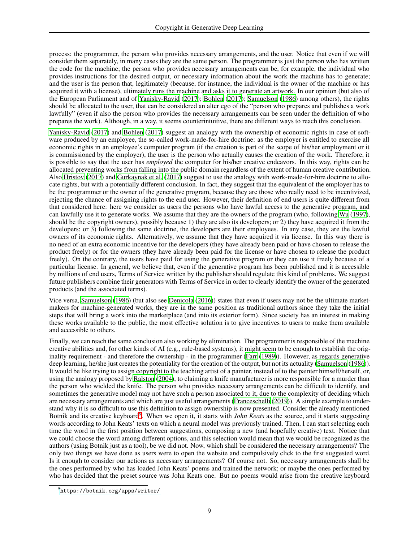process: the programmer, the person who provides necessary arrangements, and the user. Notice that even if we will consider them separately, in many cases they are the same person. The programmer is just the person who has written the code for the machine; the person who provides necessary arrangements can be, for example, the individual who provides instructions for the desired output, or necessary information about the work the machine has to generate; and the user is the person that, legitimately (because, for instance, the individual is the owner of the machine or has acquired it with a license), ultimately runs the machine and asks it to generate an artwork. In our opinion (but also of the European Parliament and of [Yanisky-Ravid](#page-15-8) [\(2017\)](#page-15-8); [Bohlen \(2017\)](#page-10-4); [Samuelson \(1986](#page-14-20)) among others), the rights should be allocated to the user, that can be considered an alter ego of the "person who prepares and publishes a work lawfully" (even if also the person who provides the necessary arrangements can be seen under the definition of who prepares the work). Although, in a way, it seems counterintuitive, there are different ways to reach this conclusion.

[Yanisky-Ravid](#page-15-8) [\(2017\)](#page-15-8) and [Bohlen](#page-10-4) [\(2017\)](#page-10-4) suggest an analogy with the ownership of economic rights in case of software produced by an employee, the so-called work-made-for-hire doctrine: as the employer is entitled to exercise all economic rights in an employee's computer program (if the creation is part of the scope of his/her employment or it is commissioned by the employer), the user is the person who actually causes the creation of the work. Therefore, it is possible to say that the user has *employed* the computer for his/her creative endeavors. In this way, rights can be allocated preventing works from falling into the public domain regardless of the extent of human creative contribution. Also [Hristov](#page-12-19) [\(2017\)](#page-12-19) and [Gurkaynak et al. \(2017](#page-12-20)) suggest to use the analogy with work-made-for-hire doctrine to allocate rights, but with a potentially different conclusion. In fact, they suggest that the equivalent of the employer has to be the programmer or the owner of the generative program, because they are those who really need to be incentivized, rejecting the chance of assigning rights to the end user. However, their definition of end users is quite different from that considered here: here we consider as users the persons who have lawful access to the generative program, and can lawfully use it to generate works. We assume that they are the owners of the program (who, following [Wu](#page-14-21) [\(1997\)](#page-14-21), should be the copyright owners), possibly because 1) they are also its developers; or 2) they have acquired it from the developers; or 3) following the same doctrine, the developers are their employees. In any case, they are the lawful owners of its economic rights. Alternatively, we assume that they have acquired it via license. In this way there is no need of an extra economic incentive for the developers (they have already been paid or have chosen to release the product freely) or for the owners (they have already been paid for the license or have chosen to release the product freely). On the contrary, the users have paid for using the generative program or they can use it freely because of a particular license. In general, we believe that, even if the generative program has been published and it is accessible by millions of end users, Terms of Service written by the publisher should regulate this kind of problems. We suggest future publishers combine their generators with Terms of Service in order to clearly identify the owner of the generated products (and the associated terms).

Vice versa, [Samuelson \(1986\)](#page-14-20) (but also see [Denicola](#page-11-23) [\(2016\)](#page-11-23)) states that even if users may not be the ultimate marketmakers for machine-generated works, they are in the same position as traditional authors since they take the initial steps that will bring a work into the marketplace (and into its exterior form). Since society has an interest in making these works available to the public, the most effective solution is to give incentives to users to make them available and accessible to others.

Finally, we can reach the same conclusion also working by elimination. The programmer is responsible of the machine creative abilities and, for other kinds of AI (e.g., rule-based systems), it might seem to be enough to establish the originality requirement - and therefore the ownership - in the programmer [\(Farr \(1989\)](#page-11-24)). However, as regards generative deep learning, he/she just creates the potentiality for the creation of the output, but not its actuality [\(Samuelson](#page-14-20) [\(1986\)](#page-14-20)). It would be like trying to assign copyright to the teaching artist of a painter, instead of to the painter himself/herself, or, using the analogy proposed by [Ralston \(2004\)](#page-14-22), to claiming a knife manufacturer is more responsible for a murder than the person who wielded the knife. The person who provides necessary arrangements can be difficult to identify, and sometimes the generative model may not have such a person associated to it, due to the complexity of deciding which are necessary arrangements and which are just useful arrangements [\(Franceschelli \(2019\)](#page-11-22)). A simple example to understand why it is so difficult to use this definition to assign ownership is now presented. Consider the already mentioned Botnik and its creative keyboard<sup>[9](#page-8-0)</sup>. When we open it, it starts with *John Keats* as the source, and it starts suggesting words according to John Keats' texts on which a neural model was previously trained. Then, I can start selecting each time the word in the first position between suggestions, composing a new (and hopefully creative) text. Notice that we could choose the word among different options, and this selection would mean that we would be recognized as the authors (using Botnik just as a tool), be we did not. Now, which shall be considered the necessary arrangements? The only two things we have done as users were to open the website and compulsively click to the first suggested word. Is it enough to consider our actions as necessary arrangements? Of course not. So, necessary arrangements shall be the ones performed by who has loaded John Keats' poems and trained the network; or maybe the ones performed by who has decided that the preset source was John Keats one. But no poems would arise from the creative keyboard

<span id="page-8-0"></span><sup>&</sup>lt;sup>9</sup><https://botnik.org/apps/writer/>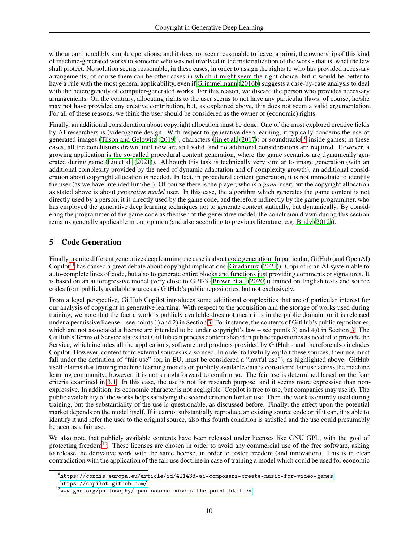without our incredibly simple operations; and it does not seem reasonable to leave, a priori, the ownership of this kind of machine-generated works to someone who was not involved in the materialization of the work - that is, what the law shall protect. No solution seems reasonable, in these cases, in order to assign the rights to who has provided necessary arrangements; of course there can be other cases in which it might seem the right choice, but it would be better to have a rule with the most general applicability, even if [Grimmelmann \(2016b\)](#page-12-21) suggests a case-by-case analysis to deal with the heterogeneity of computer-generated works. For this reason, we discard the person who provides necessary arrangements. On the contrary, allocating rights to the user seems to not have any particular flaws; of course, he/she may not have provided any creative contribution, but, as explained above, this does not seem a valid argumentation. For all of these reasons, we think the user should be considered as the owner of (economic) rights.

Finally, an additional consideration about copyright allocation must be done. One of the most explored creative fields by AI researchers is (video)game design. With respect to generative deep learning, it typically concerns the use of generated images [\(Tilson and Gelowitz](#page-14-23) [\(2019\)](#page-14-23)), characters [\(Jin et al. \(2017\)](#page-12-22)) or soundtracks<sup>[10](#page-9-1)</sup> inside games; in these cases, all the conclusions drawn until now are still valid, and no additional considerations are required. However, a growing application is the so-called procedural content generation, where the game scenarios are dynamically generated during game [\(Liu et al.](#page-13-25) [\(2021\)](#page-13-25)). Although this task is technically very similar to image generation (with an additional complexity provided by the need of dynamic adaptation and of complexity growth), an additional consideration about copyright allocation is needed. In fact, in procedural content generation, it is not immediate to identify the user (as we have intended him/her). Of course there is the player, who is a *game* user; but the copyright allocation as stated above is about *generative model* user. In this case, the algorithm which generates the game content is not directly used by a person; it is directly used by the game code, and therefore indirectly by the game programmer, who has employed the generative deep learning techniques not to generate content statically, but dynamically. By considering the programmer of the game code as the user of the generative model, the conclusion drawn during this section remains generally applicable in our opinion (and also according to previous literature, e.g. [Bridy \(2012](#page-11-25))).

## <span id="page-9-0"></span>5 Code Generation

Finally, a quite different generative deep learning use case is about code generation. In particular, GitHub (and OpenAI) Copilot<sup>[11](#page-9-2)</sup> has caused a great debate about copyright implications [\(Guadamuz \(2021\)](#page-12-23)). Copilot is an AI system able to auto-complete lines of code, but also to generate entire blocks and functions just providing comments or signatures. It is based on an autoregressive model (very close to GPT-3 [\(Brown et al.](#page-11-1) [\(2020\)](#page-11-1))) trained on English texts and source codes from publicly available sources as GitHub's public repositories, but not exclusively.

From a legal perspective, GitHub Copilot introduces some additional complexities that are of particular interest for our analysis of copyright in generative learning. With respect to the acquisition and the storage of works used during training, we note that the fact a work is publicly available does not mean it is in the public domain, or it is released under a permissive license – see points 1) and 2) in Section [3.](#page-2-0) For instance, the contents of GitHub's public repositories, which are not associated a license are intended to be under copyright's law – see points  $(3)$  and  $(4)$ ) in Section  $(3)$ . The GitHub's Terms of Service states that GitHub can process content shared in public repositories as needed to provide the Service, which includes all the applications, software and products provided by GitHub - and therefore also includes Copilot. However, content from external sources is also used. In order to lawfully exploit these sources, their use must fall under the definition of "fair use" (or, in EU, must be considered a "lawful use"), as highlighted above. GitHub itself claims that training machine learning models on publicly available data is considered fair use across the machine learning community; however, it is not straightforward to confirm so. The fair use is determined based on the four criteria examined in [3.1.](#page-3-0) In this case, the use is not for research purpose, and it seems more expressive than nonexpressive. In addition, its economic character is not negligible (Copilot is free to use, but companies may use it). The public availability of the works helps satisfying the second criterion for fair use. Then, the work is entirely used during training, but the substantiality of the use is questionable, as discussed before. Finally, the effect upon the potential market depends on the model itself. If it cannot substantially reproduce an existing source code or, if it can, it is able to identify it and refer the user to the original source, also this fourth condition is satisfied and the use could presumably be seen as a fair use.

We also note that publicly available contents have been released under licenses like GNU GPL, with the goal of protecting freedom<sup>[12](#page-9-3)</sup>. These licenses are chosen in order to avoid any commercial use of the free software, asking to release the derivative work with the same license, in order to foster freedom (and innovation). This is in clear contradiction with the application of the fair use doctrine in case of training a model which could be used for economic

 $10$ <https://cordis.europa.eu/article/id/421438-ai-composers-create-music-for-video-games>

<span id="page-9-1"></span><sup>11</sup><https://copilot.github.com/>

<span id="page-9-3"></span><span id="page-9-2"></span> $12$ <www.gnu.org/philosophy/open-source-misses-the-point.html.en>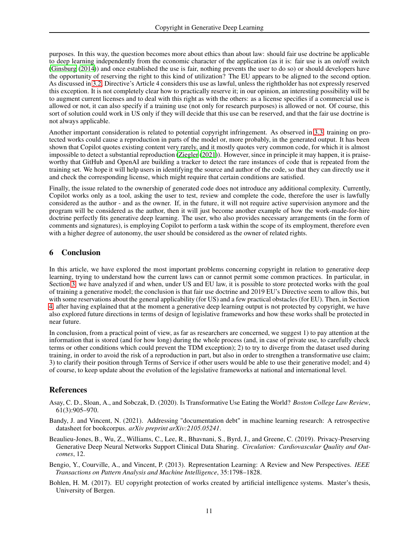purposes. In this way, the question becomes more about ethics than about law: should fair use doctrine be applicable to deep learning independently from the economic character of the application (as it is: fair use is an on/off switch [\(Ginsburg \(2014\)](#page-12-24)) and once established the use is fair, nothing prevents the user to do so) or should developers have the opportunity of reserving the right to this kind of utilization? The EU appears to be aligned to the second option. As discussed in [3.2,](#page-4-0) Directive's Article 4 considers this use as lawful, unless the rightholder has not expressly reserved this exception. It is not completely clear how to practically reserve it; in our opinion, an interesting possibility will be to augment current licenses and to deal with this right as with the others: as a license specifies if a commercial use is allowed or not, it can also specify if a training use (not only for research purposes) is allowed or not. Of course, this sort of solution could work in US only if they will decide that this use can be reserved, and that the fair use doctrine is not always applicable.

Another important consideration is related to potential copyright infringement. As observed in [3.3,](#page-5-0) training on protected works could cause a reproduction in parts of the model or, more probably, in the generated output. It has been shown that Copilot quotes existing content very rarely, and it mostly quotes very common code, for which it is almost impossible to detect a substantial reproduction [\(Ziegler \(2021\)](#page-15-9)). However, since in principle it may happen, it is praiseworthy that GitHub and OpenAI are building a tracker to detect the rare instances of code that is repeated from the training set. We hope it will help users in identifying the source and author of the code, so that they can directly use it and check the corresponding license, which might require that certain conditions are satisfied.

Finally, the issue related to the ownership of generated code does not introduce any additional complexity. Currently, Copilot works only as a tool, asking the user to test, review and complete the code, therefore the user is lawfully considered as the author - and as the owner. If, in the future, it will not require active supervision anymore and the program will be considered as the author, then it will just become another example of how the work-made-for-hire doctrine perfectly fits generative deep learning. The user, who also provides necessary arrangements (in the form of comments and signatures), is employing Copilot to perform a task within the scope of its employment, therefore even with a higher degree of autonomy, the user should be considered as the owner of related rights.

## 6 Conclusion

In this article, we have explored the most important problems concerning copyright in relation to generative deep learning, trying to understand how the current laws can or cannot permit some common practices. In particular, in Section [3,](#page-2-0) we have analyzed if and when, under US and EU law, it is possible to store protected works with the goal of training a generative model; the conclusion is that fair use doctrine and 2019 EU's Directive seem to allow this, but with some reservations about the general applicability (for US) and a few practical obstacles (for EU). Then, in Section [4,](#page-6-0) after having explained that at the moment a generative deep learning output is not protected by copyright, we have also explored future directions in terms of design of legislative frameworks and how these works shall be protected in near future.

In conclusion, from a practical point of view, as far as researchers are concerned, we suggest 1) to pay attention at the information that is stored (and for how long) during the whole process (and, in case of private use, to carefully check terms or other conditions which could prevent the TDM exception); 2) to try to diverge from the dataset used during training, in order to avoid the risk of a reproduction in part, but also in order to strengthen a transformative use claim; 3) to clarify their position through Terms of Service if other users would be able to use their generative model; and 4) of course, to keep update about the evolution of the legislative frameworks at national and international level.

## References

- <span id="page-10-2"></span>Asay, C. D., Sloan, A., and Sobczak, D. (2020). Is Transformative Use Eating the World? *Boston College Law Review*, 61(3):905–970.
- <span id="page-10-3"></span>Bandy, J. and Vincent, N. (2021). Addressing "documentation debt" in machine learning research: A retrospective datasheet for bookcorpus. *arXiv preprint arXiv:2105.05241*.
- <span id="page-10-0"></span>Beaulieu-Jones, B., Wu, Z., Williams, C., Lee, R., Bhavnani, S., Byrd, J., and Greene, C. (2019). Privacy-Preserving Generative Deep Neural Networks Support Clinical Data Sharing. *Circulation: Cardiovascular Quality and Outcomes*, 12.

<span id="page-10-1"></span>Bengio, Y., Courville, A., and Vincent, P. (2013). Representation Learning: A Review and New Perspectives. *IEEE Transactions on Pattern Analysis and Machine Intelligence*, 35:1798–1828.

<span id="page-10-4"></span>Bohlen, H. M. (2017). EU copyright protection of works created by artificial intelligence systems. Master's thesis, University of Bergen.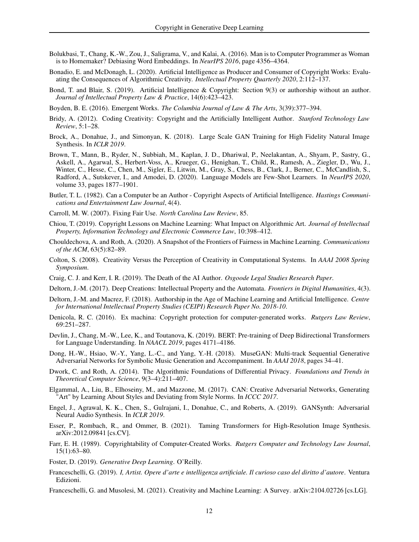- <span id="page-11-15"></span>Bolukbasi, T., Chang, K.-W., Zou, J., Saligrama, V., and Kalai, A. (2016). Man is to Computer Programmer as Woman is to Homemaker? Debiasing Word Embeddings. In *NeurIPS 2016*, page 4356–4364.
- <span id="page-11-13"></span>Bonadio, E. and McDonagh, L. (2020). Artificial Intelligence as Producer and Consumer of Copyright Works: Evaluating the Consequences of Algorithmic Creativity. *Intellectual Property Quarterly 2020*, 2:112–137.
- <span id="page-11-18"></span>Bond, T. and Blair, S. (2019). Artificial Intelligence & Copyright: Section 9(3) or authorship without an author. *Journal of Intellectual Property Law & Practice*, 14(6):423–423.
- <span id="page-11-20"></span>Boyden, B. E. (2016). Emergent Works. *The Columbia Journal of Law & The Arts*, 3(39):377–394.
- <span id="page-11-25"></span>Bridy, A. (2012). Coding Creativity: Copyright and the Artificially Intelligent Author. *Stanford Technology Law Review*, 5:1–28.
- <span id="page-11-9"></span>Brock, A., Donahue, J., and Simonyan, K. (2018). Large Scale GAN Training for High Fidelity Natural Image Synthesis. In *ICLR 2019*.
- <span id="page-11-1"></span>Brown, T., Mann, B., Ryder, N., Subbiah, M., Kaplan, J. D., Dhariwal, P., Neelakantan, A., Shyam, P., Sastry, G., Askell, A., Agarwal, S., Herbert-Voss, A., Krueger, G., Henighan, T., Child, R., Ramesh, A., Ziegler, D., Wu, J., Winter, C., Hesse, C., Chen, M., Sigler, E., Litwin, M., Gray, S., Chess, B., Clark, J., Berner, C., McCandlish, S., Radford, A., Sutskever, I., and Amodei, D. (2020). Language Models are Few-Shot Learners. In *NeurIPS 2020*, volume 33, pages 1877–1901.
- <span id="page-11-21"></span>Butler, T. L. (1982). Can a Computer be an Author - Copyright Aspects of Artificial Intelligence. *Hastings Communications and Entertainment Law Journal*, 4(4).
- <span id="page-11-12"></span>Carroll, M. W. (2007). Fixing Fair Use. *North Carolina Law Review*, 85.
- <span id="page-11-14"></span>Chiou, T. (2019). Copyright Lessons on Machine Learning: What Impact on Algorithmic Art. *Journal of Intellectual Property, Information Technology and Electronic Commerce Law*, 10:398–412.
- <span id="page-11-4"></span>Chouldechova, A. and Roth, A. (2020). A Snapshot of the Frontiers of Fairness in Machine Learning. *Communications of the ACM*, 63(5):82–89.
- <span id="page-11-11"></span>Colton, S. (2008). Creativity Versus the Perception of Creativity in Computational Systems. In *AAAI 2008 Spring Symposium*.
- <span id="page-11-19"></span>Craig, C. J. and Kerr, I. R. (2019). The Death of the AI Author. *Osgoode Legal Studies Research Paper*.
- <span id="page-11-17"></span>Deltorn, J.-M. (2017). Deep Creations: Intellectual Property and the Automata. *Frontiers in Digital Humanities*, 4(3).
- <span id="page-11-5"></span>Deltorn, J.-M. and Macrez, F. (2018). Authorship in the Age of Machine Learning and Artificial Intelligence. *Centre for International Intellectual Property Studies (CEIPI) Research Paper No. 2018-10*.
- <span id="page-11-23"></span>Denicola, R. C. (2016). Ex machina: Copyright protection for computer-generated works. *Rutgers Law Review*, 69:251–287.
- <span id="page-11-0"></span>Devlin, J., Chang, M.-W., Lee, K., and Toutanova, K. (2019). BERT: Pre-training of Deep Bidirectional Transformers for Language Understanding. In *NAACL 2019*, pages 4171–4186.
- <span id="page-11-7"></span>Dong, H.-W., Hsiao, W.-Y., Yang, L.-C., and Yang, Y.-H. (2018). MuseGAN: Multi-track Sequential Generative Adversarial Networks for Symbolic Music Generation and Accompaniment. In *AAAI 2018*, pages 34–41.
- <span id="page-11-3"></span>Dwork, C. and Roth, A. (2014). The Algorithmic Foundations of Differential Privacy. *Foundations and Trends in Theoretical Computer Science*, 9(3–4):211–407.
- <span id="page-11-8"></span>Elgammal, A., Liu, B., Elhoseiny, M., and Mazzone, M. (2017). CAN: Creative Adversarial Networks, Generating "Art" by Learning About Styles and Deviating from Style Norms. In *ICCC 2017*.
- <span id="page-11-10"></span>Engel, J., Agrawal, K. K., Chen, S., Gulrajani, I., Donahue, C., and Roberts, A. (2019). GANSynth: Adversarial Neural Audio Synthesis. In *ICLR 2019*.
- <span id="page-11-16"></span>Esser, P., Rombach, R., and Ommer, B. (2021). Taming Transformers for High-Resolution Image Synthesis. arXiv:2012.09841 [cs.CV].
- <span id="page-11-24"></span>Farr, E. H. (1989). Copyrightability of Computer-Created Works. *Rutgers Computer and Technology Law Journal*, 15(1):63–80.
- <span id="page-11-2"></span>Foster, D. (2019). *Generative Deep Learning*. O'Reilly.
- <span id="page-11-22"></span>Franceschelli, G. (2019). *I, Artist. Opere d'arte e intelligenza artificiale. Il curioso caso del diritto d'autore*. Ventura Edizioni.
- <span id="page-11-6"></span>Franceschelli, G. and Musolesi, M. (2021). Creativity and Machine Learning: A Survey. arXiv:2104.02726 [cs.LG].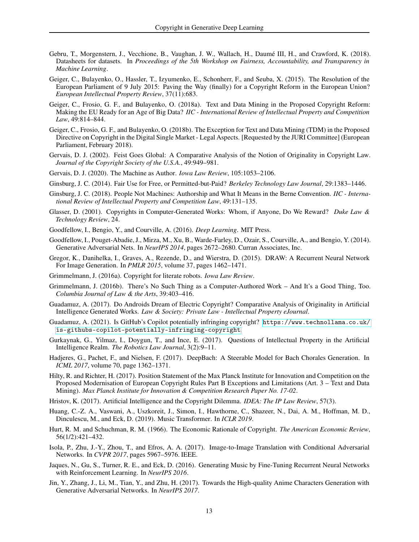- <span id="page-12-10"></span>Gebru, T., Morgenstern, J., Vecchione, B., Vaughan, J. W., Wallach, H., Daumé III, H., and Crawford, K. (2018). Datasheets for datasets. In *Proceedings of the 5th Workshop on Fairness, Accountability, and Transparency in Machine Learning*.
- <span id="page-12-8"></span>Geiger, C., Bulayenko, O., Hassler, T., Izyumenko, E., Schonherr, F., and Seuba, X. (2015). The Resolution of the European Parliament of 9 July 2015: Paving the Way (finally) for a Copyright Reform in the European Union? *European Intellectual Property Review*, 37(11):683.
- <span id="page-12-9"></span>Geiger, C., Frosio, G. F., and Bulayenko, O. (2018a). Text and Data Mining in the Proposed Copyright Reform: Making the EU Ready for an Age of Big Data? *IIC - International Review of Intellectual Property and Competition Law*, 49:814–844.
- <span id="page-12-7"></span>Geiger, C., Frosio, G. F., and Bulayenko, O. (2018b). The Exception for Text and Data Mining (TDM) in the Proposed Directive on Copyright in the Digital Single Market - Legal Aspects. [Requested by the JURI Committee] (European Parliament, February 2018).
- <span id="page-12-15"></span>Gervais, D. J. (2002). Feist Goes Global: A Comparative Analysis of the Notion of Originality in Copyright Law. *Journal of the Copyright Society of the U.S.A.*, 49:949–981.
- <span id="page-12-17"></span>Gervais, D. J. (2020). The Machine as Author. *Iowa Law Review*, 105:1053–2106.
- <span id="page-12-24"></span>Ginsburg, J. C. (2014). Fair Use for Free, or Permitted-but-Paid? *Berkeley Technology Law Journal*, 29:1383–1446.
- <span id="page-12-16"></span>Ginsburg, J. C. (2018). People Not Machines: Authorship and What It Means in the Berne Convention. *IIC - International Review of Intellectual Property and Competition Law*, 49:131–135.
- <span id="page-12-14"></span>Glasser, D. (2001). Copyrights in Computer-Generated Works: Whom, if Anyone, Do We Reward? *Duke Law & Technology Review*, 24.
- <span id="page-12-2"></span>Goodfellow, I., Bengio, Y., and Courville, A. (2016). *Deep Learning*. MIT Press.
- <span id="page-12-0"></span>Goodfellow, I., Pouget-Abadie, J., Mirza, M., Xu, B., Warde-Farley, D., Ozair, S., Courville, A., and Bengio, Y. (2014). Generative Adversarial Nets. In *NeurIPS 2014*, pages 2672–2680. Curran Associates, Inc.
- <span id="page-12-3"></span>Gregor, K., Danihelka, I., Graves, A., Rezende, D., and Wierstra, D. (2015). DRAW: A Recurrent Neural Network For Image Generation. In *PMLR 2015*, volume 37, pages 1462–1471.
- <span id="page-12-6"></span>Grimmelmann, J. (2016a). Copyright for literate robots. *Iowa Law Review*.
- <span id="page-12-21"></span>Grimmelmann, J. (2016b). There's No Such Thing as a Computer-Authored Work – And It's a Good Thing, Too. *Columbia Journal of Law & the Arts*, 39:403–416.
- <span id="page-12-13"></span>Guadamuz, A. (2017). Do Androids Dream of Electric Copyright? Comparative Analysis of Originality in Artificial Intelligence Generated Works. *Law & Society: Private Law - Intellectual Property eJournal*.
- <span id="page-12-23"></span>Guadamuz, A. (2021). Is GitHub's Copilot potentially infringing copyright? [https://www.technollama.co.uk/](https://www.technollama.co.uk/is-githubs-copilot-potentially-infringing-copyright) [is-githubs-copilot-potentially-infringing-copyright](https://www.technollama.co.uk/is-githubs-copilot-potentially-infringing-copyright).
- <span id="page-12-20"></span>Gurkaynak, G., Yilmaz, I., Doygun, T., and Ince, E. (2017). Questions of Intellectual Property in the Artificial Intelligence Realm. *The Robotics Law Journal*, 3(2):9–11.
- <span id="page-12-12"></span>Hadjeres, G., Pachet, F., and Nielsen, F. (2017). DeepBach: A Steerable Model for Bach Chorales Generation. In *ICML 2017*, volume 70, page 1362–1371.
- <span id="page-12-11"></span>Hilty, R. and Richter, H. (2017). Position Statement of the Max Planck Institute for Innovation and Competition on the Proposed Modernisation of European Copyright Rules Part B Exceptions and Limitations (Art. 3 – Text and Data Mining). *Max Planck Institute for Innovation & Competition Research Paper No. 17-02*.
- <span id="page-12-19"></span>Hristov, K. (2017). Artificial Intelligence and the Copyright Dilemma. *IDEA: The IP Law Review*, 57(3).
- <span id="page-12-4"></span>Huang, C.-Z. A., Vaswani, A., Uszkoreit, J., Simon, I., Hawthorne, C., Shazeer, N., Dai, A. M., Hoffman, M. D., Dinculescu, M., and Eck, D. (2019). Music Transformer. In *ICLR 2019*.
- <span id="page-12-18"></span>Hurt, R. M. and Schuchman, R. M. (1966). The Economic Rationale of Copyright. *The American Economic Review*, 56(1/2):421–432.
- <span id="page-12-1"></span>Isola, P., Zhu, J.-Y., Zhou, T., and Efros, A. A. (2017). Image-to-Image Translation with Conditional Adversarial Networks. In *CVPR 2017*, pages 5967–5976. IEEE.
- <span id="page-12-5"></span>Jaques, N., Gu, S., Turner, R. E., and Eck, D. (2016). Generating Music by Fine-Tuning Recurrent Neural Networks with Reinforcement Learning. In *NeurIPS 2016*.
- <span id="page-12-22"></span>Jin, Y., Zhang, J., Li, M., Tian, Y., and Zhu, H. (2017). Towards the High-quality Anime Characters Generation with Generative Adversarial Networks. In *NeurIPS 2017*.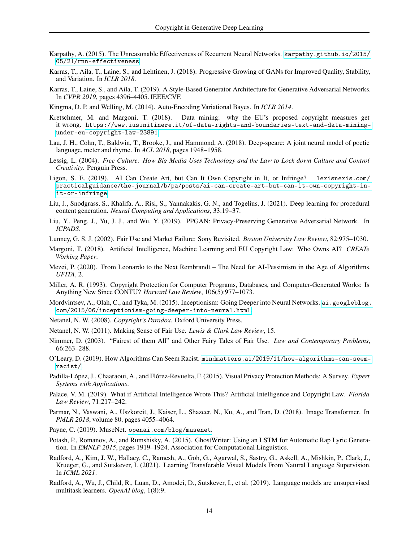- <span id="page-13-8"></span>Karpathy, A. (2015). The Unreasonable Effectiveness of Recurrent Neural Networks. [karpathy.github.io/2015/](karpathy.github.io/2015/05/21/rnn-effectiveness) [05/21/rnn-effectiveness](karpathy.github.io/2015/05/21/rnn-effectiveness).
- <span id="page-13-11"></span>Karras, T., Aila, T., Laine, S., and Lehtinen, J. (2018). Progressive Growing of GANs for Improved Quality, Stability, and Variation. In *ICLR 2018*.
- <span id="page-13-0"></span>Karras, T., Laine, S., and Aila, T. (2019). A Style-Based Generator Architecture for Generative Adversarial Networks. In *CVPR 2019*, pages 4396–4405. IEEE/CVF.
- <span id="page-13-4"></span>Kingma, D. P. and Welling, M. (2014). Auto-Encoding Variational Bayes. In *ICLR 2014*.
- <span id="page-13-17"></span>Kretschmer, M. and Margoni, T. (2018). Data mining: why the EU's proposed copyright measures get it wrong. [https://www.iusinitinere.it/of-data-rights-and-boundaries-text-and-data-mining](https://www.iusinitinere.it/of-data-rights-and-boundaries-text-and-data-mining-under-eu-copyright-law-23891)[under-eu-copyright-law-23891](https://www.iusinitinere.it/of-data-rights-and-boundaries-text-and-data-mining-under-eu-copyright-law-23891).
- <span id="page-13-10"></span>Lau, J. H., Cohn, T., Baldwin, T., Brooke, J., and Hammond, A. (2018). Deep-speare: A joint neural model of poetic language, meter and rhyme. In *ACL 2018*, pages 1948–1958.
- <span id="page-13-14"></span>Lessig, L. (2004). *Free Culture: How Big Media Uses Technology and the Law to Lock down Culture and Control Creativity*. Penguin Press.
- <span id="page-13-21"></span>Ligon, S. E. (2019). AI Can Create Art, but Can It Own Copyright in It, or Infringe? [lexisnexis.com/](lexisnexis.com/practicalguidance/the-journal/b/pa/posts/ai-can-create-art-but-can-it-own-copyright-in-it-or-infringe) [practicalguidance/the-journal/b/pa/posts/ai-can-create-art-but-can-it-own-copyright-in](lexisnexis.com/practicalguidance/the-journal/b/pa/posts/ai-can-create-art-but-can-it-own-copyright-in-it-or-infringe)[it-or-infringe](lexisnexis.com/practicalguidance/the-journal/b/pa/posts/ai-can-create-art-but-can-it-own-copyright-in-it-or-infringe).
- <span id="page-13-25"></span>Liu, J., Snodgrass, S., Khalifa, A., Risi, S., Yannakakis, G. N., and Togelius, J. (2021). Deep learning for procedural content generation. *Neural Computing and Applications*, 33:19–37.
- <span id="page-13-2"></span>Liu, Y., Peng, J., Yu, J. J., and Wu, Y. (2019). PPGAN: Privacy-Preserving Generative Adversarial Network. In *ICPADS*.
- <span id="page-13-16"></span>Lunney, G. S. J. (2002). Fair Use and Market Failure: Sony Revisited. *Boston University Law Review*, 82:975–1030.
- <span id="page-13-20"></span>Margoni, T. (2018). Artificial Intelligence, Machine Learning and EU Copyright Law: Who Owns AI? *CREATe Working Paper*.
- <span id="page-13-23"></span>Mezei, P. (2020). From Leonardo to the Next Rembrandt – The Need for AI-Pessimism in the Age of Algorithms. *UFITA*, 2.
- <span id="page-13-24"></span>Miller, A. R. (1993). Copyright Protection for Computer Programs, Databases, and Computer-Generated Works: Is Anything New Since CONTU? *Harvard Law Review*, 106(5):977–1073.
- <span id="page-13-12"></span>Mordvintsev, A., Olah, C., and Tyka, M. (2015). Inceptionism: Going Deeper into Neural Networks. [ai.googleblog.](ai.googleblog.com/2015/06/inceptionism-going-deeper-into-neural.html) [com/2015/06/inceptionism-going-deeper-into-neural.html](ai.googleblog.com/2015/06/inceptionism-going-deeper-into-neural.html).
- <span id="page-13-13"></span>Netanel, N. W. (2008). *Copyright's Paradox*. Oxford University Press.
- <span id="page-13-18"></span>Netanel, N. W. (2011). Making Sense of Fair Use. *Lewis & Clark Law Review*, 15.
- <span id="page-13-15"></span>Nimmer, D. (2003). "Fairest of them All" and Other Fairy Tales of Fair Use. *Law and Contemporary Problems*, 66:263–288.
- <span id="page-13-3"></span>O'Leary, D. (2019). How Algorithms Can Seem Racist. [mindmatters.ai/2019/11/how-algorithms-can-seem](mindmatters.ai/2019/11/how-algorithms-can-seem-racist/)[racist/](mindmatters.ai/2019/11/how-algorithms-can-seem-racist/).
- <span id="page-13-1"></span>Padilla-López, J., Chaaraoui, A., and Flórez-Revuelta, F. (2015). Visual Privacy Protection Methods: A Survey. *Expert Systems with Applications*.
- <span id="page-13-22"></span>Palace, V. M. (2019). What if Artificial Intelligence Wrote This? Artificial Intelligence and Copyright Law. *Florida Law Review*, 71:217–242.
- <span id="page-13-5"></span>Parmar, N., Vaswani, A., Uszkoreit, J., Kaiser, L., Shazeer, N., Ku, A., and Tran, D. (2018). Image Transformer. In *PMLR 2018*, volume 80, pages 4055–4064.
- <span id="page-13-7"></span>Payne, C. (2019). MuseNet. <openai.com/blog/musenet>.
- <span id="page-13-9"></span>Potash, P., Romanov, A., and Rumshisky, A. (2015). GhostWriter: Using an LSTM for Automatic Rap Lyric Generation. In *EMNLP 2015*, pages 1919–1924. Association for Computational Linguistics.
- <span id="page-13-19"></span>Radford, A., Kim, J. W., Hallacy, C., Ramesh, A., Goh, G., Agarwal, S., Sastry, G., Askell, A., Mishkin, P., Clark, J., Krueger, G., and Sutskever, I. (2021). Learning Transferable Visual Models From Natural Language Supervision. In *ICML 2021*.
- <span id="page-13-6"></span>Radford, A., Wu, J., Child, R., Luan, D., Amodei, D., Sutskever, I., et al. (2019). Language models are unsupervised multitask learners. *OpenAI blog*, 1(8):9.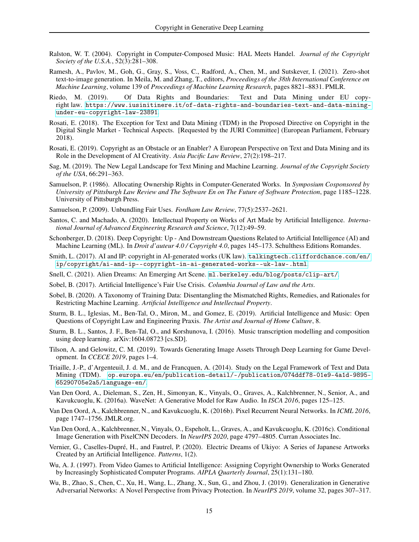- <span id="page-14-22"></span>Ralston, W. T. (2004). Copyright in Computer-Composed Music: HAL Meets Handel. *Journal of the Copyright Society of the U.S.A.*, 52(3):281–308.
- <span id="page-14-1"></span>Ramesh, A., Pavlov, M., Goh, G., Gray, S., Voss, C., Radford, A., Chen, M., and Sutskever, I. (2021). Zero-shot text-to-image generation. In Meila, M. and Zhang, T., editors, *Proceedings of the 38th International Conference on Machine Learning*, volume 139 of *Proceedings of Machine Learning Research*, pages 8821–8831. PMLR.
- <span id="page-14-12"></span>Riedo, M. (2019). Of Data Rights and Boundaries: Text and Data Mining under EU copyright law. [https://www.iusinitinere.it/of-data-rights-and-boundaries-text-and-data-mining](https://www.iusinitinere.it/of-data-rights-and-boundaries-text-and-data-mining-under-eu-copyright-law-23891)[under-eu-copyright-law-23891](https://www.iusinitinere.it/of-data-rights-and-boundaries-text-and-data-mining-under-eu-copyright-law-23891).
- <span id="page-14-14"></span>Rosati, E. (2018). The Exception for Text and Data Mining (TDM) in the Proposed Directive on Copyright in the Digital Single Market - Technical Aspects. [Requested by the JURI Committee] (European Parliament, February 2018).
- <span id="page-14-15"></span>Rosati, E. (2019). Copyright as an Obstacle or an Enabler? A European Perspective on Text and Data Mining and its Role in the Development of AI Creativity. *Asia Pacific Law Review*, 27(2):198–217.
- <span id="page-14-10"></span>Sag, M. (2019). The New Legal Landscape for Text Mining and Machine Learning. *Journal of the Copyright Society of the USA*, 66:291–363.
- <span id="page-14-20"></span>Samuelson, P. (1986). Allocating Ownership Rights in Computer-Generated Works. In *Symposium Cosponsored by University of Pittsburgh Law Review and The Software En on The Future of Software Protection*, page 1185–1228. University of Pittsburgh Press.
- <span id="page-14-9"></span>Samuelson, P. (2009). Unbundling Fair Uses. *Fordham Law Review*, 77(5):2537–2621.
- <span id="page-14-18"></span>Santos, C. and Machado, A. (2020). Intellectual Property on Works of Art Made by Artificial Intelligence. *International Journal of Advanced Engineering Research and Science*, 7(12):49–59.
- <span id="page-14-13"></span>Schonberger, D. (2018). Deep Copyright: Up - And Downstream Questions Related to Artificial Intelligence (AI) and Machine Learning (ML). In *Droit d'auteur 4.0 / Copyright 4.0*, pages 145–173. Schulthess Editions Romandes.
- <span id="page-14-19"></span>Smith, L. (2017). AI and IP: copyright in AI-generated works (UK law). [talkingtech.cliffordchance.com/en/](talkingtech.cliffordchance.com/en/ip/copyright/ai-and-ip--copyright-in-ai-generated-works--uk-law-.html) [ip/copyright/ai-and-ip--copyright-in-ai-generated-works--uk-law-.html](talkingtech.cliffordchance.com/en/ip/copyright/ai-and-ip--copyright-in-ai-generated-works--uk-law-.html).
- <span id="page-14-16"></span>Snell, C. (2021). Alien Dreams: An Emerging Art Scene. <ml.berkeley.edu/blog/posts/clip-art/>.
- <span id="page-14-4"></span>Sobel, B. (2017). Artificial Intelligence's Fair Use Crisis. *Columbia Journal of Law and the Arts*.
- <span id="page-14-8"></span>Sobel, B. (2020). A Taxonomy of Training Data: Disentangling the Mismatched Rights, Remedies, and Rationales for Restricting Machine Learning. *Artificial Intelligence and Intellectual Property*.
- <span id="page-14-17"></span>Sturm, B. L., Iglesias, M., Ben-Tal, O., Miron, M., and Gomez, E. (2019). Artificial Intelligence and Music: Open Questions of Copyright Law and Engineering Praxis. *The Artist and Journal of Home Culture*, 8.
- <span id="page-14-7"></span>Sturm, B. L., Santos, J. F., Ben-Tal, O., and Korshunova, I. (2016). Music transcription modelling and composition using deep learning. arXiv:1604.08723 [cs.SD].
- <span id="page-14-23"></span>Tilson, A. and Gelowitz, C. M. (2019). Towards Generating Image Assets Through Deep Learning for Game Development. In *CCECE 2019*, pages 1–4.
- <span id="page-14-11"></span>Triaille, J.-P., d'Argenteuil, J. d. M., and de Francquen, A. (2014). Study on the Legal Framework of Text and Data Mining (TDM). [op.europa.eu/en/publication-detail/-/publication/074ddf78-01e9-4a1d-9895-](op.europa.eu/en/publication-detail/-/publication/074ddf78-01e9-4a1d-9895-65290705e2a5/language-en/) [65290705e2a5/language-en/](op.europa.eu/en/publication-detail/-/publication/074ddf78-01e9-4a1d-9895-65290705e2a5/language-en/).
- <span id="page-14-0"></span>Van Den Oord, A., Dieleman, S., Zen, H., Simonyan, K., Vinyals, O., Graves, A., Kalchbrenner, N., Senior, A., and Kavukcuoglu, K. (2016a). WaveNet: A Generative Model for Raw Audio. In *ISCA 2016*, pages 125–125.
- <span id="page-14-5"></span>Van Den Oord, A., Kalchbrenner, N., and Kavukcuoglu, K. (2016b). Pixel Recurrent Neural Networks. In *ICML 2016*, page 1747–1756. JMLR.org.
- <span id="page-14-6"></span>Van Den Oord, A., Kalchbrenner, N., Vinyals, O., Espeholt, L., Graves, A., and Kavukcuoglu, K. (2016c). Conditional Image Generation with PixelCNN Decoders. In *NeurIPS 2020*, page 4797–4805. Curran Associates Inc.
- <span id="page-14-2"></span>Vernier, G., Caselles-Dupré, H., and Fautrel, P. (2020). Electric Dreams of Ukiyo: A Series of Japanese Artworks Created by an Artificial Intelligence. *Patterns*, 1(2).
- <span id="page-14-21"></span>Wu, A. J. (1997). From Video Games to Artificial Intelligence: Assigning Copyright Ownership to Works Generated by Increasingly Sophisticated Computer Programs. *AIPLA Quarterly Journal*, 25(1):131–180.
- <span id="page-14-3"></span>Wu, B., Zhao, S., Chen, C., Xu, H., Wang, L., Zhang, X., Sun, G., and Zhou, J. (2019). Generalization in Generative Adversarial Networks: A Novel Perspective from Privacy Protection. In *NeurIPS 2019*, volume 32, pages 307–317.